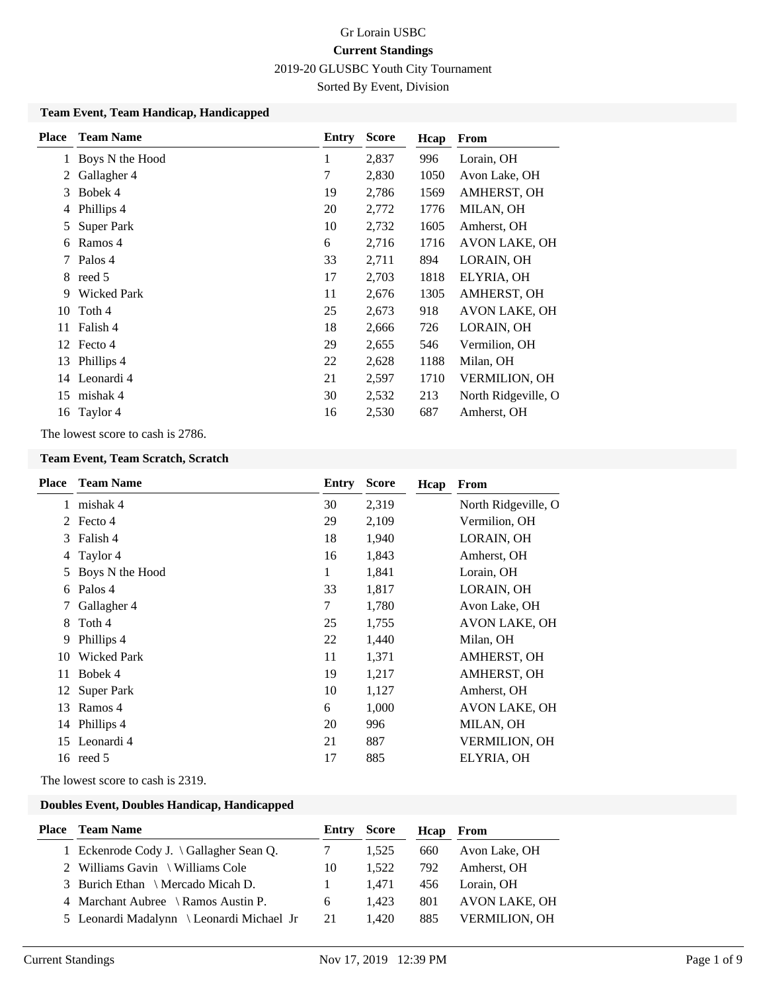Sorted By Event, Division

#### **Team Event, Team Handicap, Handicapped**

| <b>Place</b> | <b>Team Name</b>   | Entry | <b>Score</b> | Hcap | From                 |
|--------------|--------------------|-------|--------------|------|----------------------|
|              | Boys N the Hood    | 1     | 2,837        | 996  | Lorain, OH           |
| 2            | Gallagher 4        | 7     | 2,830        | 1050 | Avon Lake, OH        |
| 3            | Bobek 4            | 19    | 2,786        | 1569 | AMHERST, OH          |
| 4            | Phillips 4         | 20    | 2,772        | 1776 | MILAN, OH            |
| 5            | Super Park         | 10    | 2,732        | 1605 | Amherst, OH          |
| 6            | Ramos 4            | 6     | 2,716        | 1716 | AVON LAKE, OH        |
| 7            | Palos 4            | 33    | 2,711        | 894  | LORAIN, OH           |
|              | 8 reed 5           | 17    | 2,703        | 1818 | ELYRIA, OH           |
| 9            | <b>Wicked Park</b> | 11    | 2,676        | 1305 | AMHERST, OH          |
| 10           | Toth 4             | 25    | 2,673        | 918  | AVON LAKE, OH        |
| 11           | Falish 4           | 18    | 2,666        | 726  | LORAIN, OH           |
|              | 12 Fecto 4         | 29    | 2,655        | 546  | Vermilion, OH        |
| 13           | Phillips 4         | 22    | 2,628        | 1188 | Milan, OH            |
|              | 14 Leonardi 4      | 21    | 2,597        | 1710 | <b>VERMILION, OH</b> |
| 15           | mishak 4           | 30    | 2,532        | 213  | North Ridgeville, O  |
| 16           | Taylor 4           | 16    | 2,530        | 687  | Amherst, OH          |

The lowest score to cash is 2786.

#### **Team Event, Team Scratch, Scratch**

| Place         | <b>Team Name</b>   | Entry  | <b>Score</b> | Hcap | From                 |
|---------------|--------------------|--------|--------------|------|----------------------|
| $\mathbf{1}$  | mishak 4           | 30     | 2,319        |      | North Ridgeville, O  |
| $\mathcal{L}$ | Fecto 4            | 29     | 2,109        |      | Vermilion, OH        |
| 3             | Falish 4           | 18     | 1,940        |      | LORAIN, OH           |
| 4             | Taylor 4           | 16     | 1,843        |      | Amherst, OH          |
| 5             | Boys N the Hood    | 1      | 1,841        |      | Lorain, OH           |
| 6             | Palos 4            | 33     | 1,817        |      | LORAIN, OH           |
|               | Gallagher 4        | $\tau$ | 1,780        |      | Avon Lake, OH        |
| 8             | Toth 4             | 25     | 1,755        |      | AVON LAKE, OH        |
| 9             | Phillips 4         | 22     | 1,440        |      | Milan, OH            |
| 10            | <b>Wicked Park</b> | 11     | 1,371        |      | AMHERST, OH          |
| 11            | Bobek 4            | 19     | 1,217        |      | AMHERST, OH          |
| 12            | Super Park         | 10     | 1,127        |      | Amherst, OH          |
| 13            | Ramos 4            | 6      | 1,000        |      | AVON LAKE, OH        |
|               | 14 Phillips 4      | 20     | 996          |      | MILAN, OH            |
| 15            | Leonardi 4         | 21     | 887          |      | <b>VERMILION, OH</b> |
|               | 16 reed 5          | 17     | 885          |      | ELYRIA, OH           |
|               |                    |        |              |      |                      |

The lowest score to cash is 2319.

#### **Doubles Event, Doubles Handicap, Handicapped**

| <b>Place</b> Team Name                          |            | <b>Entry Score</b> |     | <b>Hcap</b> From     |
|-------------------------------------------------|------------|--------------------|-----|----------------------|
| 1 Eckenrode Cody J. $\langle$ Gallagher Sean Q. | $7\degree$ | 1.525              | 660 | Avon Lake, OH        |
| 2 Williams Gavin \ Williams Cole                | 10         | 1.522              | 792 | Amherst, OH          |
| 3 Burich Ethan \ Mercado Micah D.               |            | 1.471              | 456 | Lorain. OH           |
| 4 Marchant Aubree \ Ramos Austin P.             | 6          | 1.423              | 801 | AVON LAKE, OH        |
| 5 Leonardi Madalynn \ Leonardi Michael Jr       | 21         | 1.420              | 885 | <b>VERMILION. OH</b> |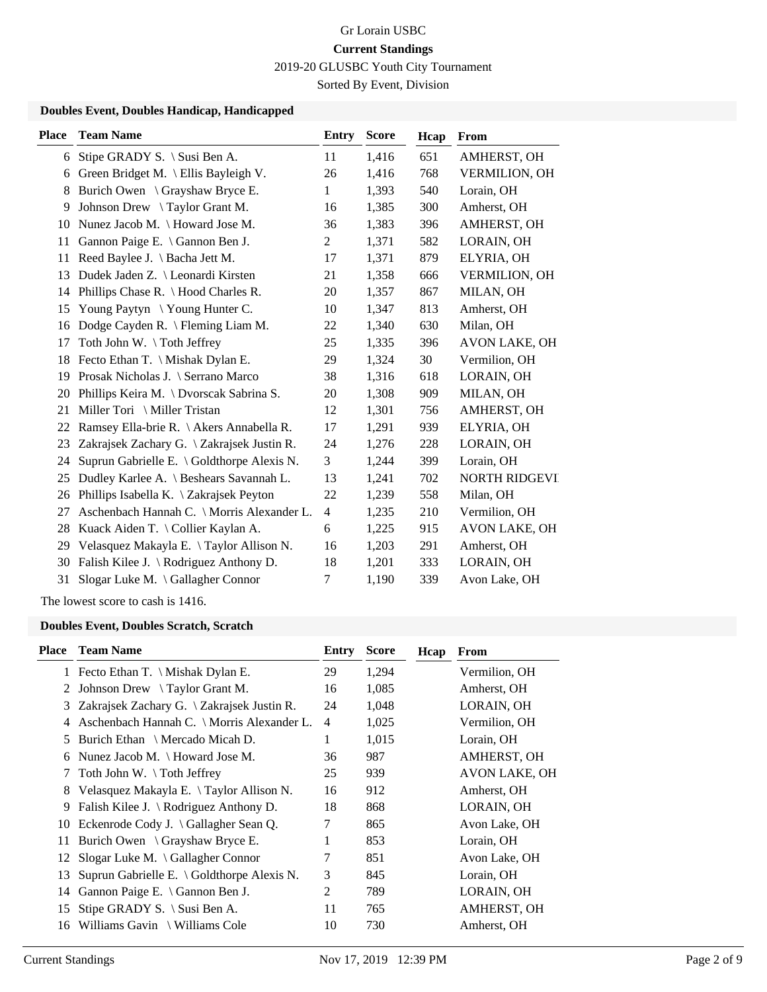# Gr Lorain USBC **Current Standings**

2019-20 GLUSBC Youth City Tournament

Sorted By Event, Division

### **Doubles Event, Doubles Handicap, Handicapped**

| Stipe GRADY S. \ Susi Ben A.<br>6<br>6<br>8<br>9<br>10<br>11 | Green Bridget M. \ Ellis Bayleigh V.<br>Burich Owen \ Grayshaw Bryce E.<br>Johnson Drew \ Taylor Grant M.<br>Nunez Jacob M. \ Howard Jose M.<br>Gannon Paige E. \ Gannon Ben J. | 11<br>26<br>1<br>16<br>36<br>$\overline{2}$ | 1,416<br>1,416<br>1,393<br>1,385<br>1,383<br>1,371 | 651<br>768<br>540<br>300<br>396 | AMHERST, OH<br><b>VERMILION, OH</b><br>Lorain, OH<br>Amherst, OH<br>AMHERST, OH |
|--------------------------------------------------------------|---------------------------------------------------------------------------------------------------------------------------------------------------------------------------------|---------------------------------------------|----------------------------------------------------|---------------------------------|---------------------------------------------------------------------------------|
|                                                              |                                                                                                                                                                                 |                                             |                                                    |                                 |                                                                                 |
|                                                              |                                                                                                                                                                                 |                                             |                                                    |                                 |                                                                                 |
|                                                              |                                                                                                                                                                                 |                                             |                                                    |                                 |                                                                                 |
|                                                              |                                                                                                                                                                                 |                                             |                                                    |                                 |                                                                                 |
|                                                              |                                                                                                                                                                                 |                                             |                                                    |                                 |                                                                                 |
|                                                              |                                                                                                                                                                                 |                                             |                                                    | 582                             | LORAIN, OH                                                                      |
| Reed Baylee J. \ Bacha Jett M.<br>11                         |                                                                                                                                                                                 | 17                                          | 1,371                                              | 879                             | ELYRIA, OH                                                                      |
| 13                                                           | Dudek Jaden Z. \ Leonardi Kirsten                                                                                                                                               | 21                                          | 1,358                                              | 666                             | <b>VERMILION, OH</b>                                                            |
| 14                                                           | Phillips Chase R. $\setminus$ Hood Charles R.                                                                                                                                   | 20                                          | 1,357                                              | 867                             | MILAN, OH                                                                       |
| 15                                                           | Young Paytyn \ Young Hunter C.                                                                                                                                                  | 10                                          | 1,347                                              | 813                             | Amherst, OH                                                                     |
| 16                                                           | Dodge Cayden R. \ Fleming Liam M.                                                                                                                                               | 22                                          | 1,340                                              | 630                             | Milan, OH                                                                       |
| Toth John W. \Toth Jeffrey<br>17                             |                                                                                                                                                                                 | 25                                          | 1,335                                              | 396                             | AVON LAKE, OH                                                                   |
| 18                                                           | Fecto Ethan T. \ Mishak Dylan E.                                                                                                                                                | 29                                          | 1,324                                              | 30                              | Vermilion, OH                                                                   |
| 19                                                           | Prosak Nicholas J. \ Serrano Marco                                                                                                                                              | 38                                          | 1,316                                              | 618                             | LORAIN, OH                                                                      |
| 20                                                           | Phillips Keira M. \ Dvorscak Sabrina S.                                                                                                                                         | 20                                          | 1,308                                              | 909                             | MILAN, OH                                                                       |
| Miller Tori \ Miller Tristan<br>21                           |                                                                                                                                                                                 | 12                                          | 1,301                                              | 756                             | AMHERST, OH                                                                     |
| 22                                                           | Ramsey Ella-brie R. \ Akers Annabella R.                                                                                                                                        | 17                                          | 1,291                                              | 939                             | ELYRIA, OH                                                                      |
| 23                                                           | Zakrajsek Zachary G. \ Zakrajsek Justin R.                                                                                                                                      | 24                                          | 1,276                                              | 228                             | LORAIN, OH                                                                      |
| 24                                                           | Suprun Gabrielle E. \ Goldthorpe Alexis N.                                                                                                                                      | 3                                           | 1,244                                              | 399                             | Lorain, OH                                                                      |
| 25                                                           | Dudley Karlee A. \ Beshears Savannah L.                                                                                                                                         | 13                                          | 1,241                                              | 702                             | NORTH RIDGEVI                                                                   |
| 26                                                           | Phillips Isabella K. \ Zakrajsek Peyton                                                                                                                                         | 22                                          | 1,239                                              | 558                             | Milan, OH                                                                       |
| 27                                                           | Aschenbach Hannah C. \ Morris Alexander L.                                                                                                                                      | $\overline{\mathcal{L}}$                    | 1,235                                              | 210                             | Vermilion, OH                                                                   |
| 28                                                           | Kuack Aiden T. \ Collier Kaylan A.                                                                                                                                              | 6                                           | 1,225                                              | 915                             | <b>AVON LAKE, OH</b>                                                            |
| 29                                                           | Velasquez Makayla E. \Taylor Allison N.                                                                                                                                         | 16                                          | 1,203                                              | 291                             | Amherst, OH                                                                     |
| 30                                                           | Falish Kilee J. \ Rodriguez Anthony D.                                                                                                                                          | 18                                          | 1,201                                              | 333                             | LORAIN, OH                                                                      |
| 31                                                           | Slogar Luke M. \ Gallagher Connor                                                                                                                                               | 7                                           | 1,190                                              | 339                             | Avon Lake, OH                                                                   |

The lowest score to cash is 1416.

#### **Doubles Event, Doubles Scratch, Scratch**

| Place | <b>Team Name</b>                                     | Entry | <b>Score</b> | Hcap | From                 |
|-------|------------------------------------------------------|-------|--------------|------|----------------------|
|       | 1 Fecto Ethan T. \ Mishak Dylan E.                   | 29    | 1,294        |      | Vermilion, OH        |
| 2     | Johnson Drew $\setminus$ Taylor Grant M.             | 16    | 1,085        |      | Amherst, OH          |
| 3     | Zakrajsek Zachary G. \ Zakrajsek Justin R.           | 24    | 1,048        |      | LORAIN, OH           |
| 4     | Aschenbach Hannah C. \ Morris Alexander L.           | 4     | 1,025        |      | Vermilion, OH        |
| 5     | Burich Ethan \ Mercado Micah D.                      | 1     | 1,015        |      | Lorain, OH           |
| 6     | Nunez Jacob M. $\{$ Howard Jose M.                   | 36    | 987          |      | AMHERST, OH          |
| 7     | Toth John W. $\setminus$ Toth Jeffrey                | 25    | 939          |      | <b>AVON LAKE, OH</b> |
| 8     | Velasquez Makayla E. \ Taylor Allison N.             | 16    | 912          |      | Amherst, OH          |
| 9     | Falish Kilee J. $\setminus$ Rodriguez Anthony D.     | 18    | 868          |      | LORAIN, OH           |
| 10    | Eckenrode Cody J. $\langle$ Gallagher Sean Q.        | 7     | 865          |      | Avon Lake, OH        |
| 11    | Burich Owen $\langle$ Grayshaw Bryce E.              |       | 853          |      | Lorain, OH           |
|       | 12 Slogar Luke M. \ Gallagher Connor                 | 7     | 851          |      | Avon Lake, OH        |
| 13    | Suprun Gabrielle E. $\setminus$ Goldthorpe Alexis N. | 3     | 845          |      | Lorain, OH           |
| 14    | Gannon Paige E. $\setminus$ Gannon Ben J.            | 2     | 789          |      | LORAIN, OH           |
| 15    | Stipe GRADY S. \ Susi Ben A.                         | 11    | 765          |      | AMHERST, OH          |
| 16    | Williams Gavin $\setminus$ Williams Cole             | 10    | 730          |      | Amherst, OH          |
|       |                                                      |       |              |      |                      |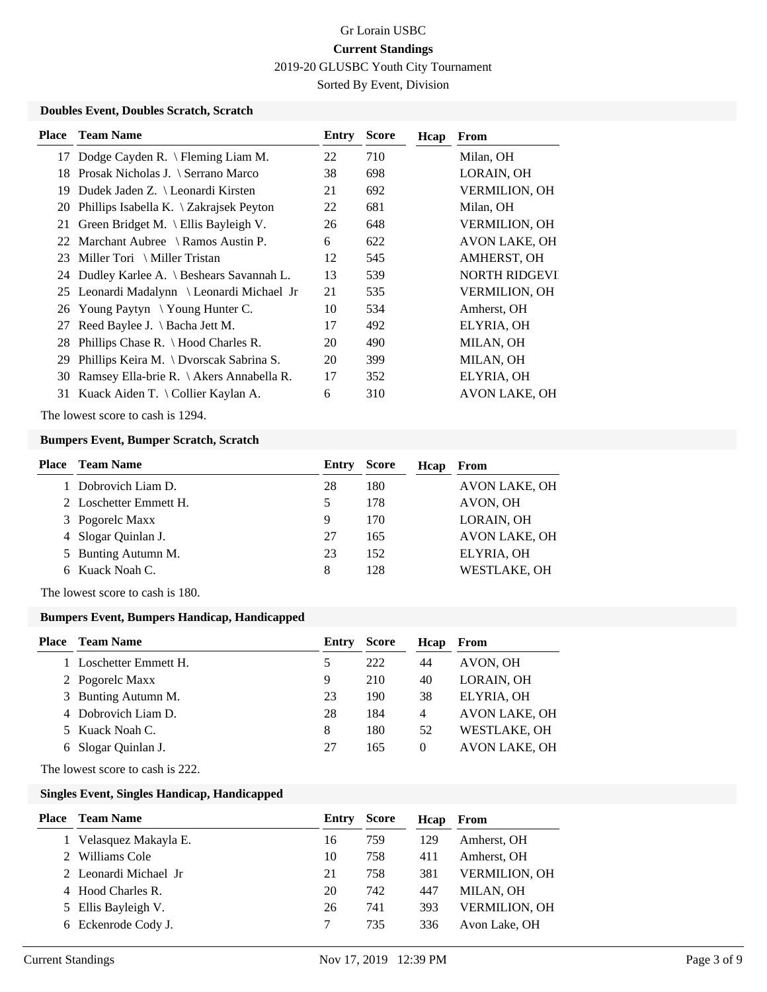Sorted By Event, Division

### **Doubles Event, Doubles Scratch, Scratch**

| <b>Place</b> | <b>Team Name</b>                             | Entry | <b>Score</b> | Hcap | From                 |
|--------------|----------------------------------------------|-------|--------------|------|----------------------|
|              | 17 Dodge Cayden R. \ Fleming Liam M.         | 22    | 710          |      | Milan, OH            |
| 18.          | Prosak Nicholas J. \ Serrano Marco           | 38    | 698          |      | LORAIN, OH           |
| 19           | Dudek Jaden Z. \ Leonardi Kirsten            | 21    | 692          |      | <b>VERMILION, OH</b> |
|              | 20 Phillips Isabella K. \ Zakrajsek Peyton   | 22    | 681          |      | Milan, OH            |
| 21           | Green Bridget M. \ Ellis Bayleigh V.         | 26    | 648          |      | VERMILION, OH        |
|              | 22 Marchant Aubree \ Ramos Austin P.         | 6     | 622          |      | AVON LAKE, OH        |
|              | 23 Miller Tori \ Miller Tristan              | 12    | 545          |      | AMHERST, OH          |
|              | 24 Dudley Karlee A. \ Beshears Savannah L.   | 13    | 539          |      | <b>NORTH RIDGEVI</b> |
|              | 25 Leonardi Madalynn \ Leonardi Michael Jr   | 21    | 535          |      | <b>VERMILION, OH</b> |
|              | 26 Young Paytyn \Young Hunter C.             | 10    | 534          |      | Amherst, OH          |
| 27           | Reed Baylee J. $\ \$ Bacha Jett M.           | 17    | 492          |      | ELYRIA, OH           |
|              | 28 Phillips Chase R. \ Hood Charles R.       | 20    | 490          |      | MILAN, OH            |
| 29           | Phillips Keira M. \ Dvorscak Sabrina S.      | 20    | 399          |      | MILAN, OH            |
|              | 30 Ramsey Ella-brie R. \ Akers Annabella R.  | 17    | 352          |      | ELYRIA, OH           |
| 31           | Kuack Aiden T. $\setminus$ Collier Kaylan A. | 6     | 310          |      | AVON LAKE, OH        |
|              |                                              |       |              |      |                      |

The lowest score to cash is 1294.

#### **Bumpers Event, Bumper Scratch, Scratch**

| <b>Place</b> Team Name | Entry | <b>Score</b> | Hcap | From                 |
|------------------------|-------|--------------|------|----------------------|
| 1 Dobrovich Liam D.    | 28    | 180          |      | <b>AVON LAKE, OH</b> |
| 2 Loschetter Emmett H. | 5     | 178          |      | AVON, OH             |
| 3 Pogorelc Maxx        | 9     | 170          |      | LORAIN, OH           |
| 4 Slogar Quinlan J.    | 27    | 165          |      | <b>AVON LAKE, OH</b> |
| 5 Bunting Autumn M.    | 23    | 152          |      | ELYRIA, OH           |
| 6 Kuack Noah C.        | 8     | 128          |      | WESTLAKE, OH         |
|                        |       |              |      |                      |

The lowest score to cash is 180.

### **Bumpers Event, Bumpers Handicap, Handicapped**

| <b>Place</b> Team Name | Entry | <b>Score</b> | Hcap           | From                 |
|------------------------|-------|--------------|----------------|----------------------|
| 1 Loschetter Emmett H. |       | 222          | 44             | AVON, OH             |
| 2 Pogorelc Maxx        | 9     | 210          | 40             | LORAIN, OH           |
| 3 Bunting Autumn M.    | 23    | 190          | 38             | ELYRIA, OH           |
| 4 Dobrovich Liam D.    | 28    | 184          | $\overline{4}$ | <b>AVON LAKE, OH</b> |
| 5 Kuack Noah C.        | 8     | 180          | 52             | WESTLAKE, OH         |
| 6 Slogar Quinlan J.    | 27    | 165          | $\theta$       | <b>AVON LAKE, OH</b> |

The lowest score to cash is 222.

### **Singles Event, Singles Handicap, Handicapped**

| Place | <b>Team Name</b>       | Entry | <b>Score</b> | Hcap | From                 |
|-------|------------------------|-------|--------------|------|----------------------|
|       | 1 Velasquez Makayla E. | 16    | 759          | 129  | Amherst, OH          |
|       | Williams Cole          | 10    | 758          | 411  | Amherst, OH          |
|       | 2 Leonardi Michael Jr  | 21    | 758          | 381  | <b>VERMILION, OH</b> |
|       | 4 Hood Charles R.      | 20    | 742          | 447  | MILAN, OH            |
|       | 5 Ellis Bayleigh V.    | 26    | 741          | 393  | <b>VERMILION, OH</b> |
|       | 6 Eckenrode Cody J.    |       | 735          | 336  | Avon Lake, OH        |
|       |                        |       |              |      |                      |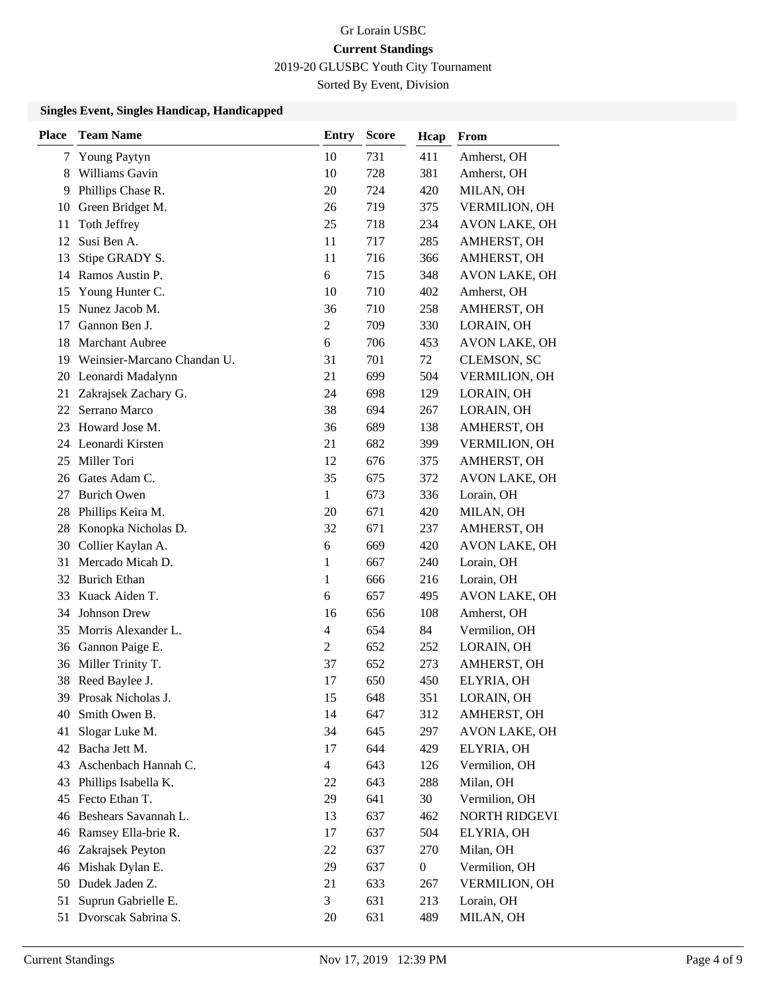# Gr Lorain USBC **Current Standings**

2019-20 GLUSBC Youth City Tournament

Sorted By Event, Division

### **Singles Event, Singles Handicap, Handicapped**

| <b>Place</b> | <b>Team Name</b>            | <b>Entry</b>             | <b>Score</b> | Hcap             | From                 |
|--------------|-----------------------------|--------------------------|--------------|------------------|----------------------|
| 7            | Young Paytyn                | 10                       | 731          | 411              | Amherst, OH          |
| 8            | Williams Gavin              | 10                       | 728          | 381              | Amherst, OH          |
| 9            | Phillips Chase R.           | 20                       | 724          | 420              | MILAN, OH            |
| 10           | Green Bridget M.            | 26                       | 719          | 375              | VERMILION, OH        |
| 11           | Toth Jeffrey                | 25                       | 718          | 234              | AVON LAKE, OH        |
| 12           | Susi Ben A.                 | 11                       | 717          | 285              | AMHERST, OH          |
| 13           | Stipe GRADY S.              | 11                       | 716          | 366              | AMHERST, OH          |
| 14           | Ramos Austin P.             | 6                        | 715          | 348              | <b>AVON LAKE, OH</b> |
| 15           | Young Hunter C.             | 10                       | 710          | 402              | Amherst, OH          |
| 15           | Nunez Jacob M.              | 36                       | 710          | 258              | AMHERST, OH          |
| 17           | Gannon Ben J.               | $\overline{c}$           | 709          | 330              | LORAIN, OH           |
| 18           | <b>Marchant Aubree</b>      | 6                        | 706          | 453              | <b>AVON LAKE, OH</b> |
| 19           | Weinsier-Marcano Chandan U. | 31                       | 701          | 72               | <b>CLEMSON, SC</b>   |
| 20           | Leonardi Madalynn           | 21                       | 699          | 504              | <b>VERMILION, OH</b> |
| 21           | Zakrajsek Zachary G.        | 24                       | 698          | 129              | LORAIN, OH           |
| 22           | Serrano Marco               | 38                       | 694          | 267              | LORAIN, OH           |
| 23           | Howard Jose M.              | 36                       | 689          | 138              | AMHERST, OH          |
| 24           | Leonardi Kirsten            | 21                       | 682          | 399              | <b>VERMILION, OH</b> |
| 25           | Miller Tori                 | 12                       | 676          | 375              | AMHERST, OH          |
| 26           | Gates Adam C.               | 35                       | 675          | 372              | <b>AVON LAKE, OH</b> |
| 27           | <b>Burich Owen</b>          | 1                        | 673          | 336              | Lorain, OH           |
| 28           | Phillips Keira M.           | 20                       | 671          | 420              | MILAN, OH            |
| 28           | Konopka Nicholas D.         | 32                       | 671          | 237              | AMHERST, OH          |
| 30           | Collier Kaylan A.           | 6                        | 669          | 420              | AVON LAKE, OH        |
| 31           | Mercado Micah D.            | 1                        | 667          | 240              | Lorain, OH           |
| 32           | <b>Burich Ethan</b>         | 1                        | 666          | 216              | Lorain, OH           |
| 33           | Kuack Aiden T.              | 6                        | 657          | 495              | AVON LAKE, OH        |
| 34           | <b>Johnson Drew</b>         | 16                       | 656          | 108              | Amherst, OH          |
| 35           | Morris Alexander L.         | $\overline{\mathcal{L}}$ | 654          | 84               | Vermilion, OH        |
| 36           | Gannon Paige E.             | 2                        | 652          | 252              | LORAIN, OH           |
| 36           | Miller Trinity T.           | 37                       | 652          | 273              | AMHERST, OH          |
| 38           | Reed Baylee J.              | 17                       | 650          | 450              | ELYRIA, OH           |
| 39           | Prosak Nicholas J.          | 15                       | 648          | 351              | LORAIN, OH           |
| 40           | Smith Owen B.               | 14                       | 647          | 312              | AMHERST, OH          |
| 41           | Slogar Luke M.              | 34                       | 645          | 297              | <b>AVON LAKE, OH</b> |
| 42           | Bacha Jett M.               | 17                       | 644          | 429              | ELYRIA, OH           |
| 43           | Aschenbach Hannah C.        | 4                        | 643          | 126              | Vermilion, OH        |
| 43           | Phillips Isabella K.        | 22                       | 643          | 288              | Milan, OH            |
| 45           | Fecto Ethan T.              | 29                       | 641          | 30               | Vermilion, OH        |
| 46           | Beshears Savannah L.        | 13                       | 637          | 462              | NORTH RIDGEVI        |
| 46           | Ramsey Ella-brie R.         | 17                       | 637          | 504              | ELYRIA, OH           |
| 46           | Zakrajsek Peyton            | 22                       | 637          | 270              | Milan, OH            |
| 46           | Mishak Dylan E.             | 29                       | 637          | $\boldsymbol{0}$ | Vermilion, OH        |
| 50           | Dudek Jaden Z.              | 21                       | 633          | 267              | VERMILION, OH        |
| 51           | Suprun Gabrielle E.         | 3                        | 631          | 213              | Lorain, OH           |
|              | 51 Dvorscak Sabrina S.      | 20                       | 631          | 489              | MILAN, OH            |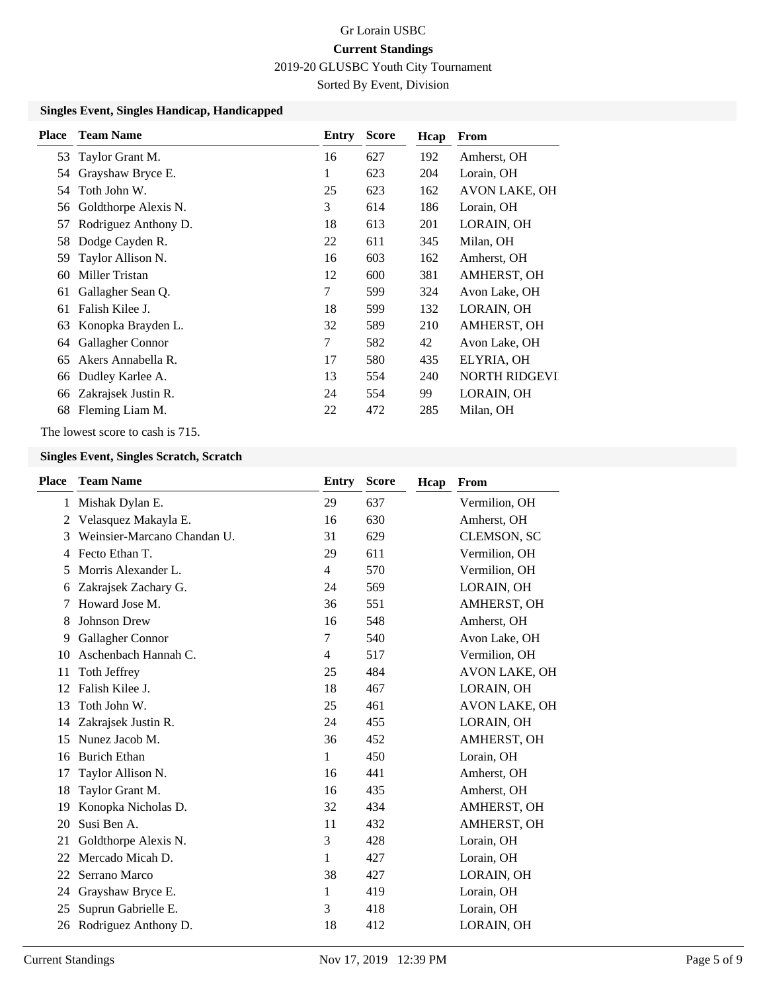Sorted By Event, Division

### **Singles Event, Singles Handicap, Handicapped**

| <b>Place</b> | <b>Team Name</b>     | Entry | <b>Score</b> | Hcap | From                 |
|--------------|----------------------|-------|--------------|------|----------------------|
| 53           | Taylor Grant M.      | 16    | 627          | 192  | Amherst, OH          |
| 54           | Grayshaw Bryce E.    | 1     | 623          | 204  | Lorain, OH           |
| 54           | Toth John W.         | 25    | 623          | 162  | <b>AVON LAKE, OH</b> |
| 56           | Goldthorpe Alexis N. | 3     | 614          | 186  | Lorain, OH           |
| 57           | Rodriguez Anthony D. | 18    | 613          | 201  | LORAIN, OH           |
| 58           | Dodge Cayden R.      | 22    | 611          | 345  | Milan, OH            |
| 59           | Taylor Allison N.    | 16    | 603          | 162  | Amherst, OH          |
| 60           | Miller Tristan       | 12    | 600          | 381  | AMHERST, OH          |
| 61           | Gallagher Sean Q.    | 7     | 599          | 324  | Avon Lake, OH        |
| 61           | Falish Kilee J.      | 18    | 599          | 132  | LORAIN, OH           |
| 63           | Konopka Brayden L.   | 32    | 589          | 210  | AMHERST, OH          |
| 64           | Gallagher Connor     | 7     | 582          | 42   | Avon Lake, OH        |
| 65           | Akers Annabella R.   | 17    | 580          | 435  | ELYRIA, OH           |
| 66           | Dudley Karlee A.     | 13    | 554          | 240  | <b>NORTH RIDGEVI</b> |
| 66           | Zakrajsek Justin R.  | 24    | 554          | 99   | LORAIN, OH           |
| 68           | Fleming Liam M.      | 22    | 472          | 285  | Milan, OH            |

The lowest score to cash is 715.

### **Singles Event, Singles Scratch, Scratch**

| <b>Place</b> | <b>Team Name</b>            | <b>Entry</b>   | <b>Score</b> | Hcap | From                 |
|--------------|-----------------------------|----------------|--------------|------|----------------------|
| 1            | Mishak Dylan E.             | 29             | 637          |      | Vermilion, OH        |
| 2            | Velasquez Makayla E.        | 16             | 630          |      | Amherst, OH          |
| 3            | Weinsier-Marcano Chandan U. | 31             | 629          |      | CLEMSON, SC          |
| 4            | Fecto Ethan T.              | 29             | 611          |      | Vermilion, OH        |
| 5            | Morris Alexander L.         | $\overline{4}$ | 570          |      | Vermilion, OH        |
| 6            | Zakrajsek Zachary G.        | 24             | 569          |      | LORAIN, OH           |
| 7            | Howard Jose M.              | 36             | 551          |      | AMHERST, OH          |
| 8            | <b>Johnson Drew</b>         | 16             | 548          |      | Amherst, OH          |
| 9            | Gallagher Connor            | 7              | 540          |      | Avon Lake, OH        |
| 10           | Aschenbach Hannah C.        | $\overline{4}$ | 517          |      | Vermilion, OH        |
| 11           | Toth Jeffrey                | 25             | 484          |      | <b>AVON LAKE, OH</b> |
| 12           | Falish Kilee J.             | 18             | 467          |      | LORAIN, OH           |
| 13           | Toth John W.                | 25             | 461          |      | <b>AVON LAKE, OH</b> |
| 14           | Zakrajsek Justin R.         | 24             | 455          |      | LORAIN, OH           |
| 15           | Nunez Jacob M.              | 36             | 452          |      | AMHERST, OH          |
| 16           | <b>Burich Ethan</b>         | 1              | 450          |      | Lorain, OH           |
| 17           | Taylor Allison N.           | 16             | 441          |      | Amherst, OH          |
| 18           | Taylor Grant M.             | 16             | 435          |      | Amherst, OH          |
| 19           | Konopka Nicholas D.         | 32             | 434          |      | AMHERST, OH          |
| 20           | Susi Ben A.                 | 11             | 432          |      | <b>AMHERST, OH</b>   |
| 21           | Goldthorpe Alexis N.        | 3              | 428          |      | Lorain, OH           |
| 22           | Mercado Micah D.            | 1              | 427          |      | Lorain, OH           |
| 22           | Serrano Marco               | 38             | 427          |      | LORAIN, OH           |
| 24           | Grayshaw Bryce E.           | 1              | 419          |      | Lorain, OH           |
| 25           | Suprun Gabrielle E.         | 3              | 418          |      | Lorain, OH           |
| 26           | Rodriguez Anthony D.        | 18             | 412          |      | LORAIN, OH           |
|              |                             |                |              |      |                      |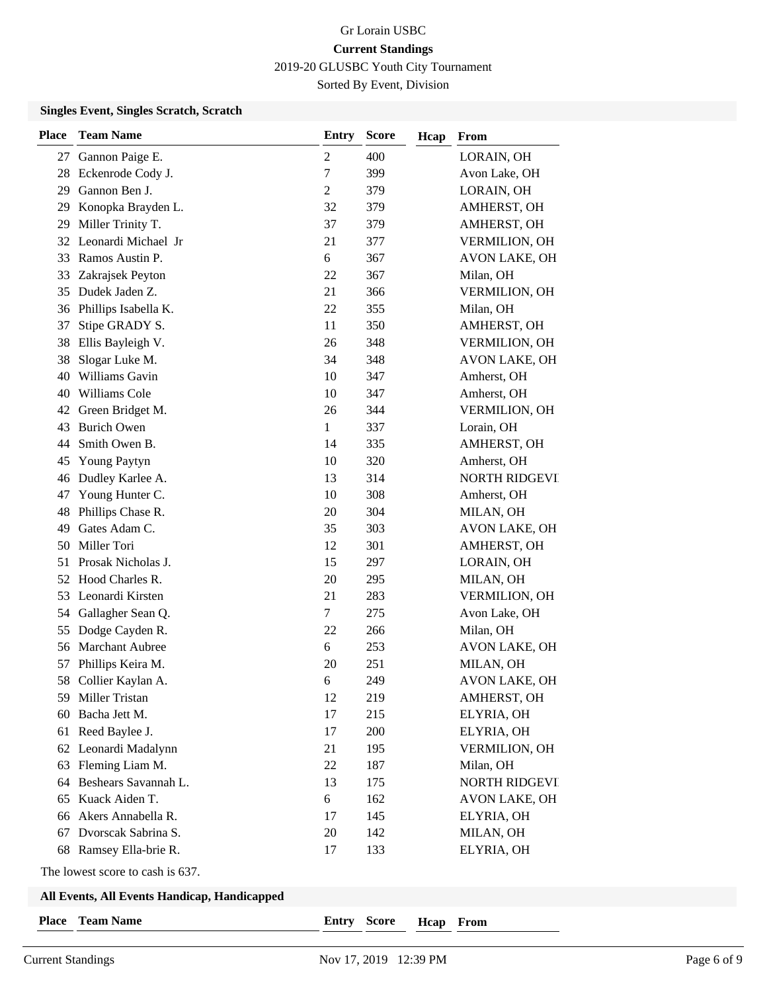Sorted By Event, Division

### **Singles Event, Singles Scratch, Scratch**

| <b>Place</b> | <b>Team Name</b>       | <b>Entry</b>     | <b>Score</b> | Hcap | From                 |
|--------------|------------------------|------------------|--------------|------|----------------------|
|              | 27 Gannon Paige E.     | $\boldsymbol{2}$ | 400          |      | LORAIN, OH           |
| 28           | Eckenrode Cody J.      | $\tau$           | 399          |      | Avon Lake, OH        |
| 29           | Gannon Ben J.          | $\sqrt{2}$       | 379          |      | LORAIN, OH           |
| 29           | Konopka Brayden L.     | 32               | 379          |      | AMHERST, OH          |
| 29           | Miller Trinity T.      | 37               | 379          |      | AMHERST, OH          |
| 32           | Leonardi Michael Jr    | 21               | 377          |      | <b>VERMILION, OH</b> |
| 33           | Ramos Austin P.        | 6                | 367          |      | AVON LAKE, OH        |
| 33           | Zakrajsek Peyton       | 22               | 367          |      | Milan, OH            |
| 35           | Dudek Jaden Z.         | 21               | 366          |      | <b>VERMILION, OH</b> |
| 36           | Phillips Isabella K.   | 22               | 355          |      | Milan, OH            |
| 37           | Stipe GRADY S.         | 11               | 350          |      | AMHERST, OH          |
| 38           | Ellis Bayleigh V.      | 26               | 348          |      | <b>VERMILION, OH</b> |
| 38           | Slogar Luke M.         | 34               | 348          |      | AVON LAKE, OH        |
| 40           | Williams Gavin         | 10               | 347          |      | Amherst, OH          |
| 40           | Williams Cole          | 10               | 347          |      | Amherst, OH          |
| 42           | Green Bridget M.       | 26               | 344          |      | <b>VERMILION, OH</b> |
| 43           | <b>Burich Owen</b>     | 1                | 337          |      | Lorain, OH           |
| 44           | Smith Owen B.          | 14               | 335          |      | AMHERST, OH          |
| 45           | <b>Young Paytyn</b>    | 10               | 320          |      | Amherst, OH          |
| 46           | Dudley Karlee A.       | 13               | 314          |      | <b>NORTH RIDGEVI</b> |
| 47           | Young Hunter C.        | 10               | 308          |      | Amherst, OH          |
| 48           | Phillips Chase R.      | 20               | 304          |      | MILAN, OH            |
| 49           | Gates Adam C.          | 35               | 303          |      | AVON LAKE, OH        |
| 50           | Miller Tori            | 12               | 301          |      | AMHERST, OH          |
| 51           | Prosak Nicholas J.     | 15               | 297          |      | LORAIN, OH           |
| 52           | Hood Charles R.        | 20               | 295          |      | MILAN, OH            |
| 53           | Leonardi Kirsten       | 21               | 283          |      | <b>VERMILION, OH</b> |
| 54           | Gallagher Sean Q.      | $\tau$           | 275          |      | Avon Lake, OH        |
| 55           | Dodge Cayden R.        | 22               | 266          |      | Milan, OH            |
| 56           | <b>Marchant Aubree</b> | 6                | 253          |      | <b>AVON LAKE, OH</b> |
| 57           | Phillips Keira M.      | 20               | 251          |      | MILAN, OH            |
| 58           | Collier Kaylan A.      | 6                | 249          |      | <b>AVON LAKE, OH</b> |
| 59.          | Miller Tristan         | 12               | 219          |      | AMHERST, OH          |
| 60           | Bacha Jett M.          | 17               | 215          |      | ELYRIA, OH           |
| 61           | Reed Baylee J.         | 17               | 200          |      | ELYRIA, OH           |
| 62           | Leonardi Madalynn      | 21               | 195          |      | VERMILION, OH        |
| 63           | Fleming Liam M.        | 22               | 187          |      | Milan, OH            |
| 64           | Beshears Savannah L.   | 13               | 175          |      | NORTH RIDGEVI        |
| 65           | Kuack Aiden T.         | 6                | 162          |      | AVON LAKE, OH        |
| 66           | Akers Annabella R.     | 17               | 145          |      | ELYRIA, OH           |
| 67           | Dvorscak Sabrina S.    | 20               | 142          |      | MILAN, OH            |
| 68           | Ramsey Ella-brie R.    | 17               | 133          |      | ELYRIA, OH           |
|              |                        |                  |              |      |                      |

The lowest score to cash is 637.

#### **All Events, All Events Handicap, Handicapped**

**Place Team Name Entry Score**

**Hcap From**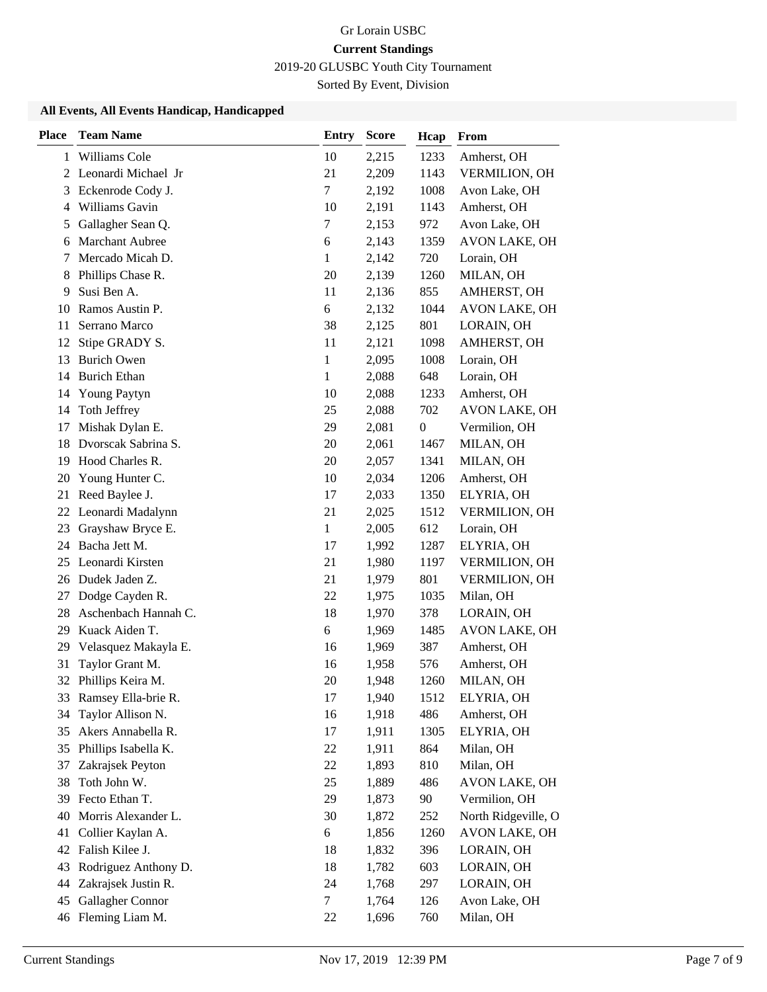# Gr Lorain USBC **Current Standings**

2019-20 GLUSBC Youth City Tournament

Sorted By Event, Division

### **All Events, All Events Handicap, Handicapped**

| <b>Place</b> | <b>Team Name</b>      | <b>Entry</b> | <b>Score</b> | Hcap             | From                 |
|--------------|-----------------------|--------------|--------------|------------------|----------------------|
|              | 1 Williams Cole       | 10           | 2,215        | 1233             | Amherst, OH          |
|              | 2 Leonardi Michael Jr | 21           | 2,209        | 1143             | VERMILION, OH        |
| 3            | Eckenrode Cody J.     | $\tau$       | 2,192        | 1008             | Avon Lake, OH        |
| 4            | Williams Gavin        | 10           | 2,191        | 1143             | Amherst, OH          |
| 5            | Gallagher Sean Q.     | 7            | 2,153        | 972              | Avon Lake, OH        |
| 6            | Marchant Aubree       | 6            | 2,143        | 1359             | AVON LAKE, OH        |
| 7            | Mercado Micah D.      | $\mathbf{1}$ | 2,142        | 720              | Lorain, OH           |
| 8            | Phillips Chase R.     | 20           | 2,139        | 1260             | MILAN, OH            |
| 9            | Susi Ben A.           | 11           | 2,136        | 855              | AMHERST, OH          |
| 10           | Ramos Austin P.       | 6            | 2,132        | 1044             | AVON LAKE, OH        |
| 11           | Serrano Marco         | 38           | 2,125        | 801              | LORAIN, OH           |
| 12           | Stipe GRADY S.        | 11           | 2,121        | 1098             | AMHERST, OH          |
| 13           | <b>Burich Owen</b>    | 1            | 2,095        | 1008             | Lorain, OH           |
| 14           | <b>Burich Ethan</b>   | $\mathbf{1}$ | 2,088        | 648              | Lorain, OH           |
| 14           | <b>Young Paytyn</b>   | 10           | 2,088        | 1233             | Amherst, OH          |
| 14           | Toth Jeffrey          | 25           | 2,088        | 702              | AVON LAKE, OH        |
| 17           | Mishak Dylan E.       | 29           | 2,081        | $\boldsymbol{0}$ | Vermilion, OH        |
| 18           | Dvorscak Sabrina S.   | 20           | 2,061        | 1467             | MILAN, OH            |
| 19           | Hood Charles R.       | 20           | 2,057        | 1341             | MILAN, OH            |
| 20           | Young Hunter C.       | 10           | 2,034        | 1206             | Amherst, OH          |
| 21           | Reed Baylee J.        | 17           | 2,033        | 1350             | ELYRIA, OH           |
| 22           | Leonardi Madalynn     | 21           | 2,025        | 1512             | VERMILION, OH        |
| 23           | Grayshaw Bryce E.     | $\mathbf{1}$ | 2,005        | 612              | Lorain, OH           |
| 24           | Bacha Jett M.         | 17           | 1,992        | 1287             | ELYRIA, OH           |
| 25           | Leonardi Kirsten      | 21           | 1,980        | 1197             | VERMILION, OH        |
| 26           | Dudek Jaden Z.        | 21           | 1,979        | 801              | VERMILION, OH        |
| 27           | Dodge Cayden R.       | 22           | 1,975        | 1035             | Milan, OH            |
| 28           | Aschenbach Hannah C.  | 18           | 1,970        | 378              | LORAIN, OH           |
| 29           | Kuack Aiden T.        | 6            | 1,969        | 1485             | AVON LAKE, OH        |
| 29           | Velasquez Makayla E.  | 16           | 1,969        | 387              | Amherst, OH          |
| 31           | Taylor Grant M.       | 16           | 1,958        | 576              | Amherst, OH          |
|              | 32 Phillips Keira M.  | 20           | 1,948        | 1260             | MILAN, OH            |
| 33           | Ramsey Ella-brie R.   | 17           | 1,940        | 1512             | ELYRIA, OH           |
| 34           | Taylor Allison N.     | 16           | 1,918        | 486              | Amherst, OH          |
| 35           | Akers Annabella R.    | 17           | 1,911        | 1305             | ELYRIA, OH           |
| 35           | Phillips Isabella K.  | 22           | 1,911        | 864              | Milan, OH            |
| 37           | Zakrajsek Peyton      | 22           | 1,893        | 810              | Milan, OH            |
| 38           | Toth John W.          | 25           | 1,889        | 486              | <b>AVON LAKE, OH</b> |
| 39           | Fecto Ethan T.        | 29           | 1,873        | 90               | Vermilion, OH        |
| 40           | Morris Alexander L.   | 30           | 1,872        | 252              | North Ridgeville, O  |
| 41           | Collier Kaylan A.     | 6            | 1,856        | 1260             | AVON LAKE, OH        |
| 42           | Falish Kilee J.       | 18           | 1,832        | 396              | LORAIN, OH           |
| 43           | Rodriguez Anthony D.  | 18           | 1,782        | 603              | LORAIN, OH           |
| 44           | Zakrajsek Justin R.   | 24           | 1,768        | 297              | LORAIN, OH           |
| 45           | Gallagher Connor      | 7            | 1,764        | 126              | Avon Lake, OH        |
| 46           | Fleming Liam M.       | 22           | 1,696        | 760              | Milan, OH            |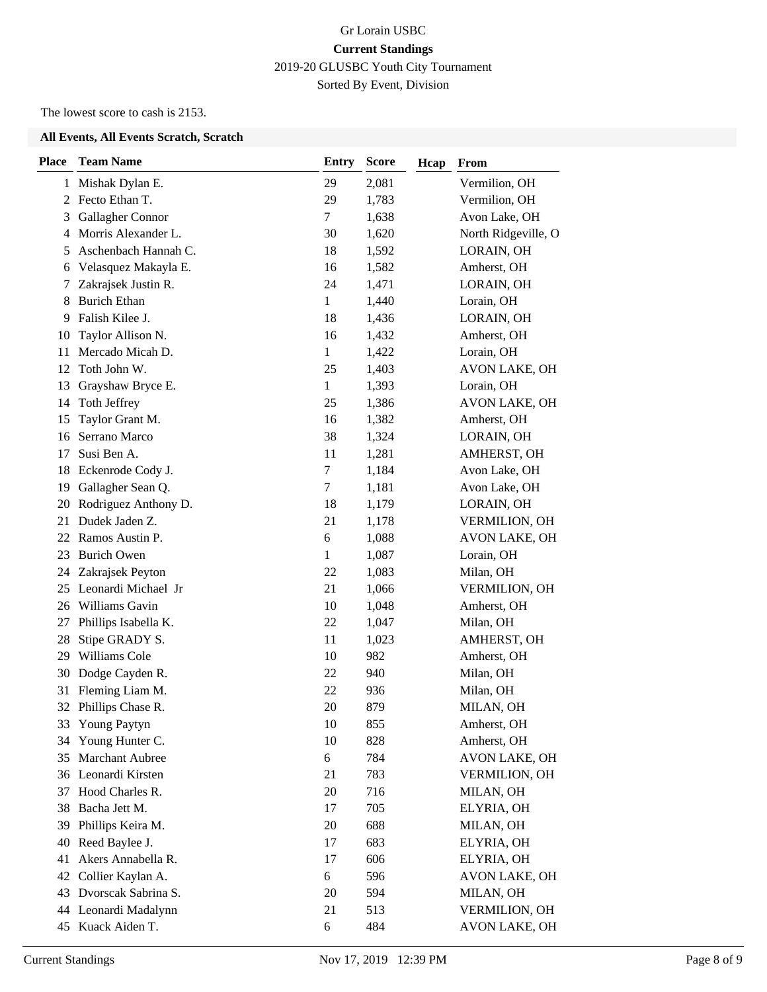# Gr Lorain USBC **Current Standings** 2019-20 GLUSBC Youth City Tournament Sorted By Event, Division

The lowest score to cash is 2153.

### **All Events, All Events Scratch, Scratch**

| <b>Place</b> | <b>Team Name</b>       | <b>Entry</b> | <b>Score</b> | Hcap | From                 |
|--------------|------------------------|--------------|--------------|------|----------------------|
| $\mathbf{1}$ | Mishak Dylan E.        | 29           | 2,081        |      | Vermilion, OH        |
|              | 2 Fecto Ethan T.       | 29           | 1,783        |      | Vermilion, OH        |
| 3            | Gallagher Connor       | 7            | 1,638        |      | Avon Lake, OH        |
| 4            | Morris Alexander L.    | 30           | 1,620        |      | North Ridgeville, O  |
| 5            | Aschenbach Hannah C.   | 18           | 1,592        |      | LORAIN, OH           |
| 6            | Velasquez Makayla E.   | 16           | 1,582        |      | Amherst, OH          |
| 7            | Zakrajsek Justin R.    | 24           | 1,471        |      | LORAIN, OH           |
| 8            | <b>Burich Ethan</b>    | 1            | 1,440        |      | Lorain, OH           |
| 9            | Falish Kilee J.        | 18           | 1,436        |      | LORAIN, OH           |
| 10           | Taylor Allison N.      | 16           | 1,432        |      | Amherst, OH          |
| 11           | Mercado Micah D.       | 1            | 1,422        |      | Lorain, OH           |
| 12           | Toth John W.           | 25           | 1,403        |      | <b>AVON LAKE, OH</b> |
| 13           | Grayshaw Bryce E.      | $\mathbf{1}$ | 1,393        |      | Lorain, OH           |
| 14           | Toth Jeffrey           | 25           | 1,386        |      | <b>AVON LAKE, OH</b> |
| 15           | Taylor Grant M.        | 16           | 1,382        |      | Amherst, OH          |
| 16           | Serrano Marco          | 38           | 1,324        |      | LORAIN, OH           |
| 17           | Susi Ben A.            | 11           | 1,281        |      | AMHERST, OH          |
| 18           | Eckenrode Cody J.      | $\tau$       | 1,184        |      | Avon Lake, OH        |
| 19           | Gallagher Sean Q.      | $\tau$       | 1,181        |      | Avon Lake, OH        |
| 20           | Rodriguez Anthony D.   | 18           | 1,179        |      | LORAIN, OH           |
| 21           | Dudek Jaden Z.         | 21           | 1,178        |      | VERMILION, OH        |
| 22           | Ramos Austin P.        | 6            | 1,088        |      | AVON LAKE, OH        |
| 23           | <b>Burich Owen</b>     | 1            | 1,087        |      | Lorain, OH           |
| 24           | Zakrajsek Peyton       | 22           | 1,083        |      | Milan, OH            |
| 25           | Leonardi Michael Jr    | 21           | 1,066        |      | <b>VERMILION, OH</b> |
| 26           | Williams Gavin         | 10           | 1,048        |      | Amherst, OH          |
| 27           | Phillips Isabella K.   | 22           | 1,047        |      | Milan, OH            |
| 28           | Stipe GRADY S.         | 11           | 1,023        |      | AMHERST, OH          |
| 29           | Williams Cole          | 10           | 982          |      | Amherst, OH          |
| 30           | Dodge Cayden R.        | 22           | 940          |      | Milan, OH            |
| 31           | Fleming Liam M.        | 22           | 936          |      | Milan, OH            |
| 32           | Phillips Chase R.      | 20           | 879          |      | MILAN, OH            |
| 33           | <b>Young Paytyn</b>    | 10           | 855          |      | Amherst, OH          |
| 34           | Young Hunter C.        | 10           | 828          |      | Amherst, OH          |
| 35           | Marchant Aubree        | 6            | 784          |      | <b>AVON LAKE, OH</b> |
|              | 36 Leonardi Kirsten    | 21           | 783          |      | <b>VERMILION, OH</b> |
| 37           | Hood Charles R.        | 20           | 716          |      | MILAN, OH            |
| 38           | Bacha Jett M.          | 17           | 705          |      | ELYRIA, OH           |
| 39           | Phillips Keira M.      | 20           | 688          |      | MILAN, OH            |
| 40           | Reed Baylee J.         | 17           | 683          |      | ELYRIA, OH           |
| 41           | Akers Annabella R.     | 17           | 606          |      | ELYRIA, OH           |
| 42           | Collier Kaylan A.      | 6            | 596          |      | AVON LAKE, OH        |
|              | 43 Dvorscak Sabrina S. | 20           | 594          |      | MILAN, OH            |
| 44           | Leonardi Madalynn      | 21           | 513          |      | <b>VERMILION, OH</b> |
| 45           | Kuack Aiden T.         | 6            | 484          |      | AVON LAKE, OH        |